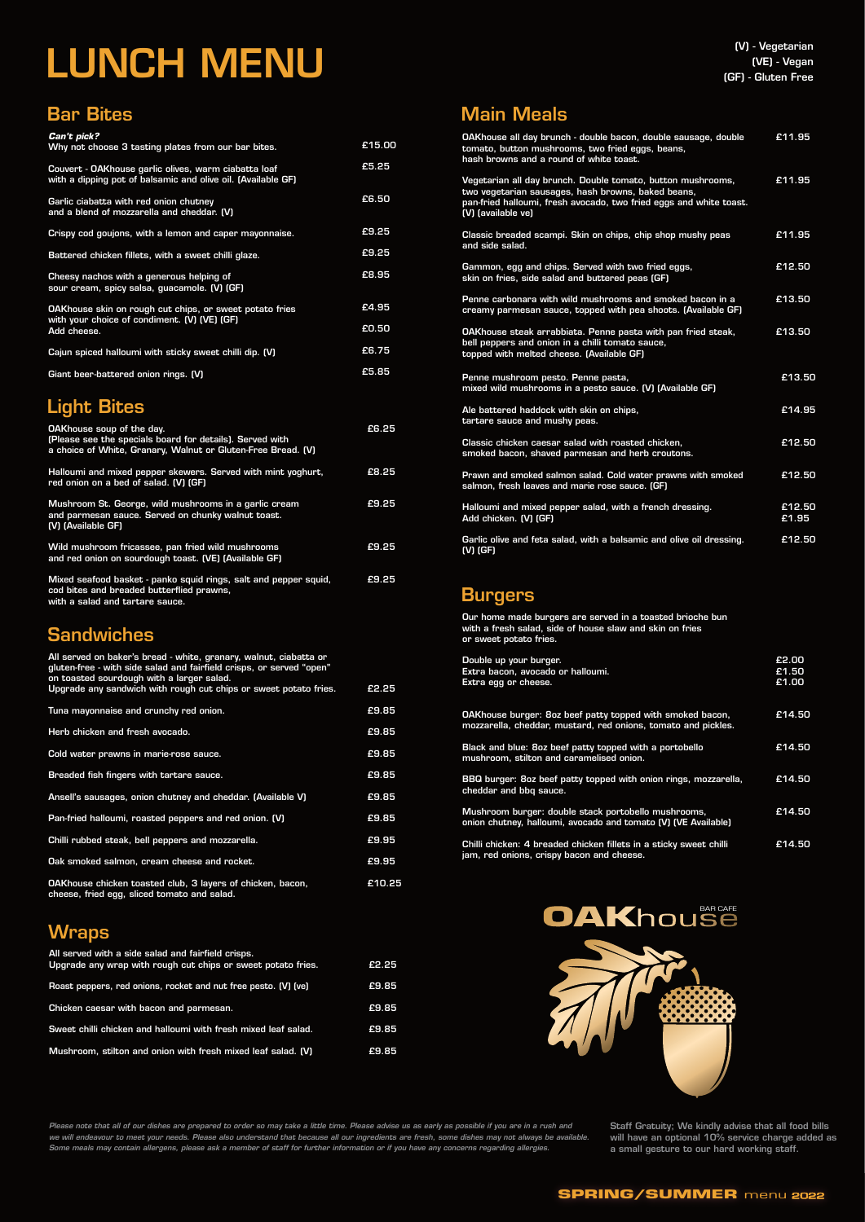

#### **SPRING/SUMMER** menu 2022

| OAKhouse all day brunch - double bacon, double sausage, double<br>tomato, button mushrooms, two fried eggs, beans,<br>hash browns and a round of white toast.                                                 | £11.95          |
|---------------------------------------------------------------------------------------------------------------------------------------------------------------------------------------------------------------|-----------------|
| Vegetarian all day brunch. Double tomato, button mushrooms,<br>two vegetarian sausages, hash browns, baked beans,<br>pan-fried halloumi, fresh avocado, two fried eggs and white toast.<br>(V) (available ve) | £11.95          |
| Classic breaded scampi. Skin on chips, chip shop mushy peas<br>and side salad.                                                                                                                                | £11.95          |
| Gammon, egg and chips. Served with two fried eggs,<br>skin on fries, side salad and buttered peas (GF)                                                                                                        | £12.50          |
| Penne carbonara with wild mushrooms and smoked bacon in a<br>creamy parmesan sauce, topped with pea shoots. (Available GF)                                                                                    | £13.50          |
| OAKhouse steak arrabbiata. Penne pasta with pan fried steak,<br>bell peppers and onion in a chilli tomato sauce,<br>topped with melted cheese. (Available GF)                                                 | £13.50          |
| Penne mushroom pesto. Penne pasta,<br>mixed wild mushrooms in a pesto sauce. (V) (Available GF)                                                                                                               | £13.50          |
| Ale battered haddock with skin on chips,<br>tartare sauce and mushy peas.                                                                                                                                     | £14.95          |
| Classic chicken caesar salad with roasted chicken.<br>smoked bacon, shaved parmesan and herb croutons.                                                                                                        | £12.50          |
| Prawn and smoked salmon salad. Cold water prawns with smoked<br>salmon, fresh leaves and marie rose sauce. (GF)                                                                                               | £12.50          |
| Halloumi and mixed pepper salad, with a french dressing.<br>Add chicken. (V) (GF)                                                                                                                             | £12.50<br>£1.95 |
| Garlic olive and feta salad, with a balsamic and olive oil dressing.<br>$(V)$ (GF)                                                                                                                            | £12.50          |

#### **Burgers**

#### Main Meals

| <i>Can't pick?</i><br>Why not choose 3 tasting plates from our bar bites.                                            | £15.00 |
|----------------------------------------------------------------------------------------------------------------------|--------|
| Couvert - OAKhouse garlic olives, warm ciabatta loaf<br>with a dipping pot of balsamic and olive oil. (Available GF) | £5.25  |
| Garlic ciabatta with red onion chutney<br>and a blend of mozzarella and cheddar. (V)                                 | £6.50  |
| Crispy cod goujons, with a lemon and caper mayonnaise.                                                               | £9.25  |
| Battered chicken fillets, with a sweet chilli glaze.                                                                 | £9.25  |
| Cheesy nachos with a generous helping of<br>sour cream, spicy salsa, guacamole. (V) (GF)                             | £8.95  |
| <b>OAKhouse skin on rough cut chips, or sweet potato fries</b>                                                       | £4.95  |
| with your choice of condiment. (V) (VE) (GF)<br>Add cheese.                                                          |        |
| Cajun spiced halloumi with sticky sweet chilli dip. (V)                                                              | £6.75  |
| Giant beer-battered onion rings. (V)                                                                                 | £5.85  |
|                                                                                                                      |        |

#### Bar Bites

# LUNCH MENU

#### Light Bites

| <b>OAKhouse soup of the day.</b><br>(Please see the specials board for details). Served with<br>a choice of White, Granary, Walnut or Gluten-Free Bread. (V) | £6.25 |
|--------------------------------------------------------------------------------------------------------------------------------------------------------------|-------|
| Halloumi and mixed pepper skewers. Served with mint yoghurt,<br>red onion on a bed of salad. (V) (GF)                                                        | £8.25 |
| Mushroom St. George, wild mushrooms in a garlic cream<br>and parmesan sauce. Served on chunky walnut toast.<br>(V) (Available GF)                            | £9.25 |
| Wild mushroom fricassee, pan fried wild mushrooms<br>and red onion on sourdough toast. (VE) (Available GF)                                                   | £9.25 |
| Mixed seafood basket - panko squid rings, salt and pepper squid,<br>cod bites and breaded butterflied prawns,<br>with a salad and tartare sauce.             | £9.25 |

#### **Sandwiches**

Our home made burgers are served in a toasted brioche bun with a fresh salad, side of house slaw and skin on fries or sweet potato fries.

| Double up your burger.<br>Extra bacon, avocado or halloumi.<br>Extra egg or cheese.                                        | £2.00<br>£1.50<br>£1.00 |
|----------------------------------------------------------------------------------------------------------------------------|-------------------------|
| OAKhouse burger: 8oz beef patty topped with smoked bacon,<br>mozzarella, cheddar, mustard, red onions, tomato and pickles. | £14.50                  |
| Black and blue: 8oz beef patty topped with a portobello<br>mushroom, stilton and caramelised onion.                        | £14.50                  |
| BBQ burger: 8oz beef patty topped with onion rings, mozzarella,<br>cheddar and bbq sauce.                                  | £14.50                  |
| Mushroom burger: double stack portobello mushrooms,<br>onion chutney, halloumi, avocado and tomato (V) (VE Available)      | £14.50                  |
| Chilli chicken: 4 breaded chicken fillets in a sticky sweet chilli<br>jam, red onions, crispy bacon and cheese.            | £14.50                  |

*Please note that all of our dishes are prepared to order so may take a little time. Please advise us as early as possible if you are in a rush and we will endeavour to meet your needs. Please also understand that because all our ingredients are fresh, some dishes may not always be available. Some meals may contain allergens, please ask a member of staff for further information or if you have any concerns regarding allergies.*

#### Wraps

| All served with a side salad and fairfield crisps.<br>Upgrade any wrap with rough cut chips or sweet potato fries. | £2.25 |
|--------------------------------------------------------------------------------------------------------------------|-------|
| Roast peppers, red onions, rocket and nut free pesto. (V) (ve)                                                     | £9.85 |
| Chicken caesar with bacon and parmesan.                                                                            | £9.85 |
| Sweet chilli chicken and halloumi with fresh mixed leaf salad.                                                     | £9.85 |
| Mushroom, stilton and onion with fresh mixed leaf salad. (V)                                                       | £9.85 |





| All served on baker's bread - white, granary, walnut, ciabatta or<br>gluten-free - with side salad and fairfield crisps, or served "open"<br>on toasted sourdough with a larger salad. |        |
|----------------------------------------------------------------------------------------------------------------------------------------------------------------------------------------|--------|
| Upgrade any sandwich with rough cut chips or sweet potato fries.                                                                                                                       | £2.25  |
| Tuna mayonnaise and crunchy red onion.                                                                                                                                                 | £9.85  |
| Herb chicken and fresh avocado.                                                                                                                                                        | £9.85  |
| Cold water prawns in marie-rose sauce.                                                                                                                                                 | £9.85  |
| Breaded fish fingers with tartare sauce.                                                                                                                                               | £9.85  |
| Ansell's sausages, onion chutney and cheddar. (Available V)                                                                                                                            | £9.85  |
| Pan-fried halloumi, roasted peppers and red onion. (V)                                                                                                                                 | £9.85  |
| Chilli rubbed steak, bell peppers and mozzarella.                                                                                                                                      | £9.95  |
| Oak smoked salmon, cream cheese and rocket.                                                                                                                                            | £9.95  |
| OAKhouse chicken toasted club, 3 layers of chicken, bacon,<br>cheese, fried egg, sliced tomato and salad.                                                                              | £10.25 |

Staff Gratuity; We kindly advise that all food bills will have an optional 10% service charge added as a small gesture to our hard working staff.